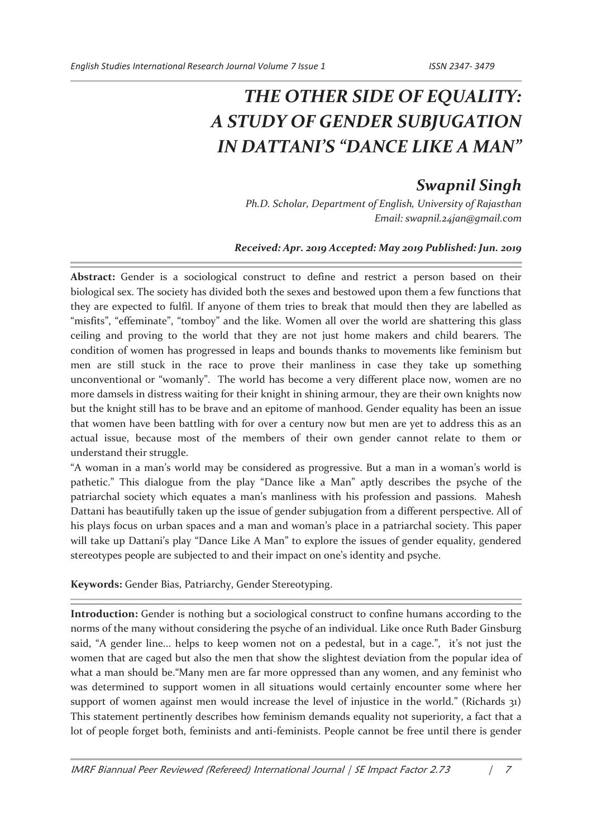## *THE OTHER SIDE OF EQUALITY: A STUDY OF GENDER SUBJUGATION IN DATTANI'S "DANCE LIKE A MAN"*

## *Swapnil Singh*

*Ph.D. Scholar, Department of English, University of Rajasthan Email: swapnil.24jan@gmail.com* 

## *Received: Apr. 2019 Accepted: May 2019 Published: Jun. 2019*

Abstract: Gender is a sociological construct to define and restrict a person based on their biological sex. The society has divided both the sexes and bestowed upon them a few functions that they are expected to fulfil. If anyone of them tries to break that mould then they are labelled as "misfits", "effeminate", "tomboy" and the like. Women all over the world are shattering this glass ceiling and proving to the world that they are not just home makers and child bearers. The condition of women has progressed in leaps and bounds thanks to movements like feminism but men are still stuck in the race to prove their manliness in case they take up something unconventional or "womanly". The world has become a very different place now, women are no more damsels in distress waiting for their knight in shining armour, they are their own knights now but the knight still has to be brave and an epitome of manhood. Gender equality has been an issue that women have been battling with for over a century now but men are yet to address this as an actual issue, because most of the members of their own gender cannot relate to them or understand their struggle.

"A woman in a man's world may be considered as progressive. But a man in a woman's world is pathetic." This dialogue from the play "Dance like a Man" aptly describes the psyche of the patriarchal society which equates a man's manliness with his profession and passions. Mahesh Dattani has beautifully taken up the issue of gender subjugation from a different perspective. All of his plays focus on urban spaces and a man and woman's place in a patriarchal society. This paper will take up Dattani's play "Dance Like A Man" to explore the issues of gender equality, gendered stereotypes people are subjected to and their impact on one's identity and psyche.

**Keywords:** Gender Bias, Patriarchy, Gender Stereotyping.

**Introduction:** Gender is nothing but a sociological construct to confine humans according to the norms of the many without considering the psyche of an individual. Like once Ruth Bader Ginsburg said, "A gender line... helps to keep women not on a pedestal, but in a cage.", it's not just the women that are caged but also the men that show the slightest deviation from the popular idea of what a man should be."Many men are far more oppressed than any women, and any feminist who was determined to support women in all situations would certainly encounter some where her support of women against men would increase the level of injustice in the world." (Richards 31) This statement pertinently describes how feminism demands equality not superiority, a fact that a lot of people forget both, feminists and anti-feminists. People cannot be free until there is gender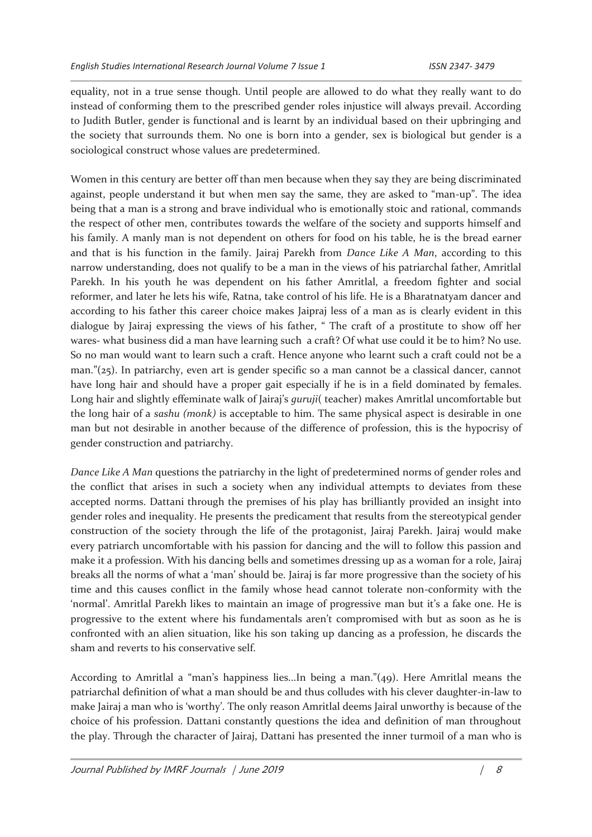equality, not in a true sense though. Until people are allowed to do what they really want to do instead of conforming them to the prescribed gender roles injustice will always prevail. According to Judith Butler, gender is functional and is learnt by an individual based on their upbringing and the society that surrounds them. No one is born into a gender, sex is biological but gender is a sociological construct whose values are predetermined.

Women in this century are better off than men because when they say they are being discriminated against, people understand it but when men say the same, they are asked to "man-up". The idea being that a man is a strong and brave individual who is emotionally stoic and rational, commands the respect of other men, contributes towards the welfare of the society and supports himself and his family. A manly man is not dependent on others for food on his table, he is the bread earner and that is his function in the family. Jairaj Parekh from *Dance Like A Man*, according to this narrow understanding, does not qualify to be a man in the views of his patriarchal father, Amritlal Parekh. In his youth he was dependent on his father Amritlal, a freedom fighter and social reformer, and later he lets his wife, Ratna, take control of his life. He is a Bharatnatyam dancer and according to his father this career choice makes Jaipraj less of a man as is clearly evident in this dialogue by Jairaj expressing the views of his father, " The craft of a prostitute to show off her wares- what business did a man have learning such a craft? Of what use could it be to him? No use. So no man would want to learn such a craft. Hence anyone who learnt such a craft could not be a man."(25). In patriarchy, even art is gender specific so a man cannot be a classical dancer, cannot have long hair and should have a proper gait especially if he is in a field dominated by females. Long hair and slightly effeminate walk of Jairaj's *guruji*( teacher) makes Amritlal uncomfortable but the long hair of a *sashu (monk)* is acceptable to him. The same physical aspect is desirable in one man but not desirable in another because of the difference of profession, this is the hypocrisy of gender construction and patriarchy.

*Dance Like A Man* questions the patriarchy in the light of predetermined norms of gender roles and the conflict that arises in such a society when any individual attempts to deviates from these accepted norms. Dattani through the premises of his play has brilliantly provided an insight into gender roles and inequality. He presents the predicament that results from the stereotypical gender construction of the society through the life of the protagonist, Jairaj Parekh. Jairaj would make every patriarch uncomfortable with his passion for dancing and the will to follow this passion and make it a profession. With his dancing bells and sometimes dressing up as a woman for a role, Jairaj breaks all the norms of what a 'man' should be. Jairaj is far more progressive than the society of his time and this causes conflict in the family whose head cannot tolerate non-conformity with the 'normal'. Amritlal Parekh likes to maintain an image of progressive man but it's a fake one. He is progressive to the extent where his fundamentals aren't compromised with but as soon as he is confronted with an alien situation, like his son taking up dancing as a profession, he discards the sham and reverts to his conservative self.

According to Amritlal a "man's happiness lies...In being a man."(49). Here Amritlal means the patriarchal definition of what a man should be and thus colludes with his clever daughter-in-law to make Jairaj a man who is 'worthy'. The only reason Amritlal deems Jairal unworthy is because of the choice of his profession. Dattani constantly questions the idea and definition of man throughout the play. Through the character of Jairaj, Dattani has presented the inner turmoil of a man who is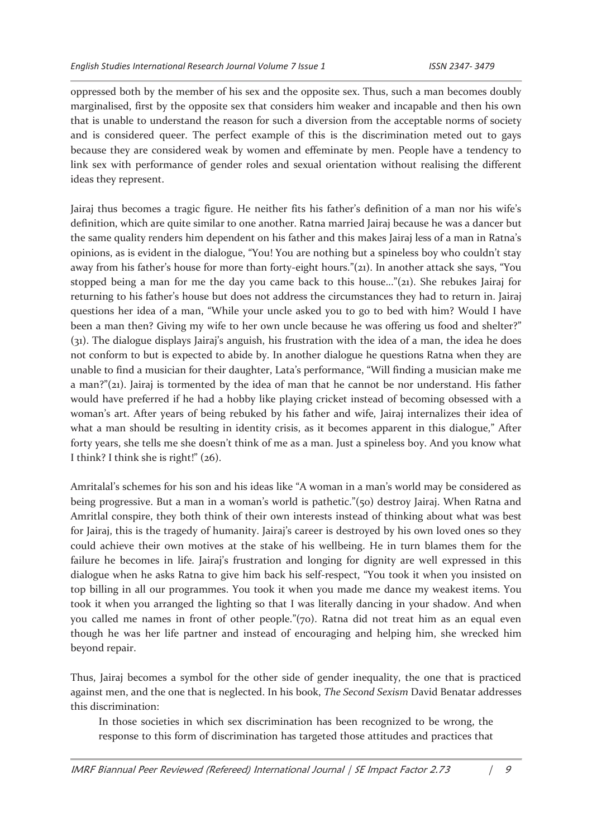oppressed both by the member of his sex and the opposite sex. Thus, such a man becomes doubly marginalised, first by the opposite sex that considers him weaker and incapable and then his own that is unable to understand the reason for such a diversion from the acceptable norms of society and is considered queer. The perfect example of this is the discrimination meted out to gays because they are considered weak by women and effeminate by men. People have a tendency to link sex with performance of gender roles and sexual orientation without realising the different ideas they represent.

Jairaj thus becomes a tragic figure. He neither fits his father's definition of a man nor his wife's definition, which are quite similar to one another. Ratna married Jairaj because he was a dancer but the same quality renders him dependent on his father and this makes Jairaj less of a man in Ratna's opinions, as is evident in the dialogue, "You! You are nothing but a spineless boy who couldn't stay away from his father's house for more than forty-eight hours."(21). In another attack she says, "You stopped being a man for me the day you came back to this house..."(21). She rebukes Jairaj for returning to his father's house but does not address the circumstances they had to return in. Jairaj questions her idea of a man, "While your uncle asked you to go to bed with him? Would I have been a man then? Giving my wife to her own uncle because he was offering us food and shelter?" (31). The dialogue displays Jairaj's anguish, his frustration with the idea of a man, the idea he does not conform to but is expected to abide by. In another dialogue he questions Ratna when they are unable to find a musician for their daughter, Lata's performance, "Will finding a musician make me a man?"(21). Jairaj is tormented by the idea of man that he cannot be nor understand. His father would have preferred if he had a hobby like playing cricket instead of becoming obsessed with a woman's art. After years of being rebuked by his father and wife, Jairaj internalizes their idea of what a man should be resulting in identity crisis, as it becomes apparent in this dialogue," After forty years, she tells me she doesn't think of me as a man. Just a spineless boy. And you know what I think? I think she is right!" (26).

Amritalal's schemes for his son and his ideas like "A woman in a man's world may be considered as being progressive. But a man in a woman's world is pathetic."(50) destroy Jairaj. When Ratna and Amritlal conspire, they both think of their own interests instead of thinking about what was best for Jairaj, this is the tragedy of humanity. Jairaj's career is destroyed by his own loved ones so they could achieve their own motives at the stake of his wellbeing. He in turn blames them for the failure he becomes in life. Jairaj's frustration and longing for dignity are well expressed in this dialogue when he asks Ratna to give him back his self-respect, "You took it when you insisted on top billing in all our programmes. You took it when you made me dance my weakest items. You took it when you arranged the lighting so that I was literally dancing in your shadow. And when you called me names in front of other people."(70). Ratna did not treat him as an equal even though he was her life partner and instead of encouraging and helping him, she wrecked him beyond repair.

Thus, Jairaj becomes a symbol for the other side of gender inequality, the one that is practiced against men, and the one that is neglected. In his book, *The Second Sexism* David Benatar addresses this discrimination:

In those societies in which sex discrimination has been recognized to be wrong, the response to this form of discrimination has targeted those attitudes and practices that